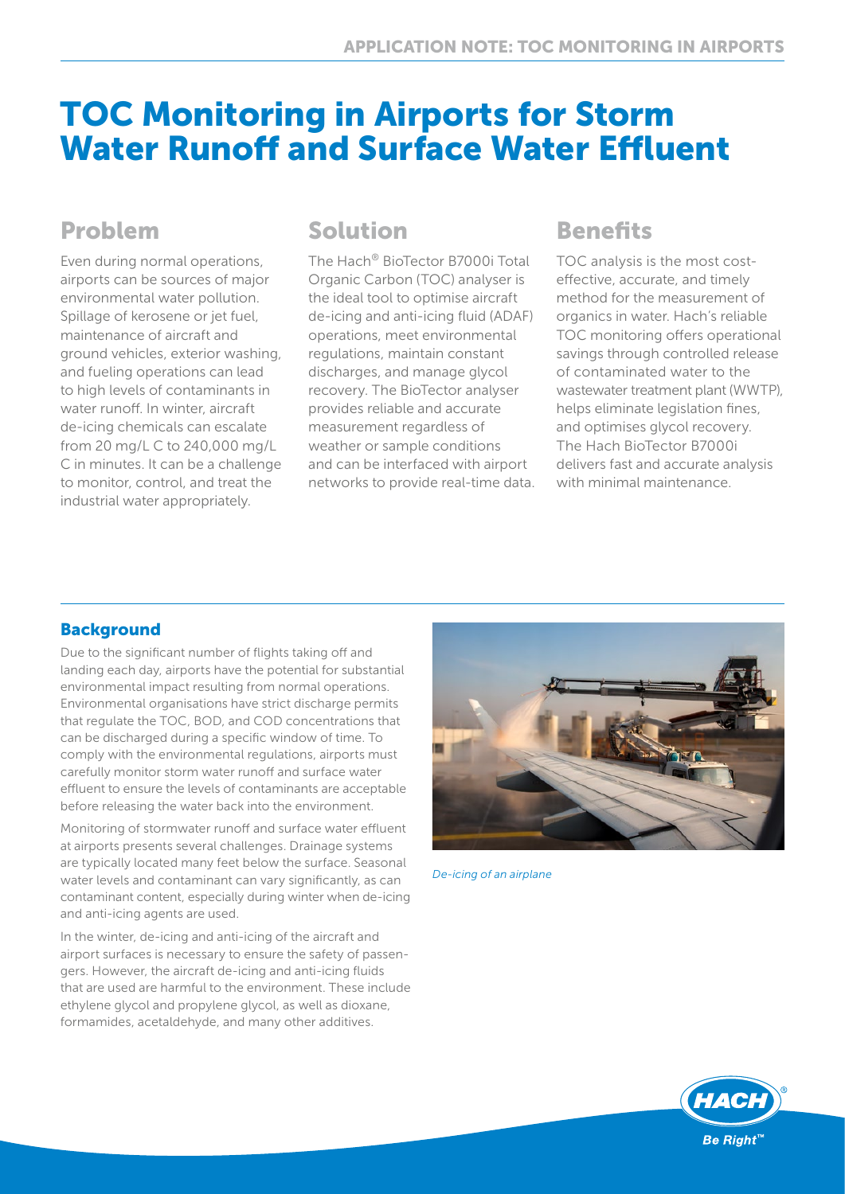# TOC Monitoring in Airports for Storm Water Runoff and Surface Water Effluent

## Problem

Even during normal operations, airports can be sources of major environmental water pollution. Spillage of kerosene or jet fuel, maintenance of aircraft and ground vehicles, exterior washing, and fueling operations can lead to high levels of contaminants in water runoff. In winter, aircraft de-icing chemicals can escalate from 20 mg/L C to 240,000 mg/L C in minutes. It can be a challenge to monitor, control, and treat the industrial water appropriately.

## Solution

The Hach® BioTector B7000i Total Organic Carbon (TOC) analyser is the ideal tool to optimise aircraft de-icing and anti-icing fluid (ADAF) operations, meet environmental regulations, maintain constant discharges, and manage glycol recovery. The BioTector analyser provides reliable and accurate measurement regardless of weather or sample conditions and can be interfaced with airport networks to provide real-time data.

## **Benefits**

TOC analysis is the most costeffective, accurate, and timely method for the measurement of organics in water. Hach's reliable TOC monitoring offers operational savings through controlled release of contaminated water to the wastewater treatment plant (WWTP), helps eliminate legislation fines, and optimises glycol recovery. The Hach BioTector B7000i delivers fast and accurate analysis with minimal maintenance.

## **Background**

Due to the significant number of flights taking off and landing each day, airports have the potential for substantial environmental impact resulting from normal operations. Environmental organisations have strict discharge permits that regulate the TOC, BOD, and COD concentrations that can be discharged during a specific window of time. To comply with the environmental regulations, airports must carefully monitor storm water runoff and surface water effluent to ensure the levels of contaminants are acceptable before releasing the water back into the environment.

Monitoring of stormwater runoff and surface water effluent at airports presents several challenges. Drainage systems are typically located many feet below the surface. Seasonal water levels and contaminant can vary significantly, as can contaminant content, especially during winter when de-icing and anti-icing agents are used.

In the winter, de-icing and anti-icing of the aircraft and airport surfaces is necessary to ensure the safety of passengers. However, the aircraft de-icing and anti-icing fluids that are used are harmful to the environment. These include ethylene glycol and propylene glycol, as well as dioxane, formamides, acetaldehyde, and many other additives.



*De-icing of an airplane*

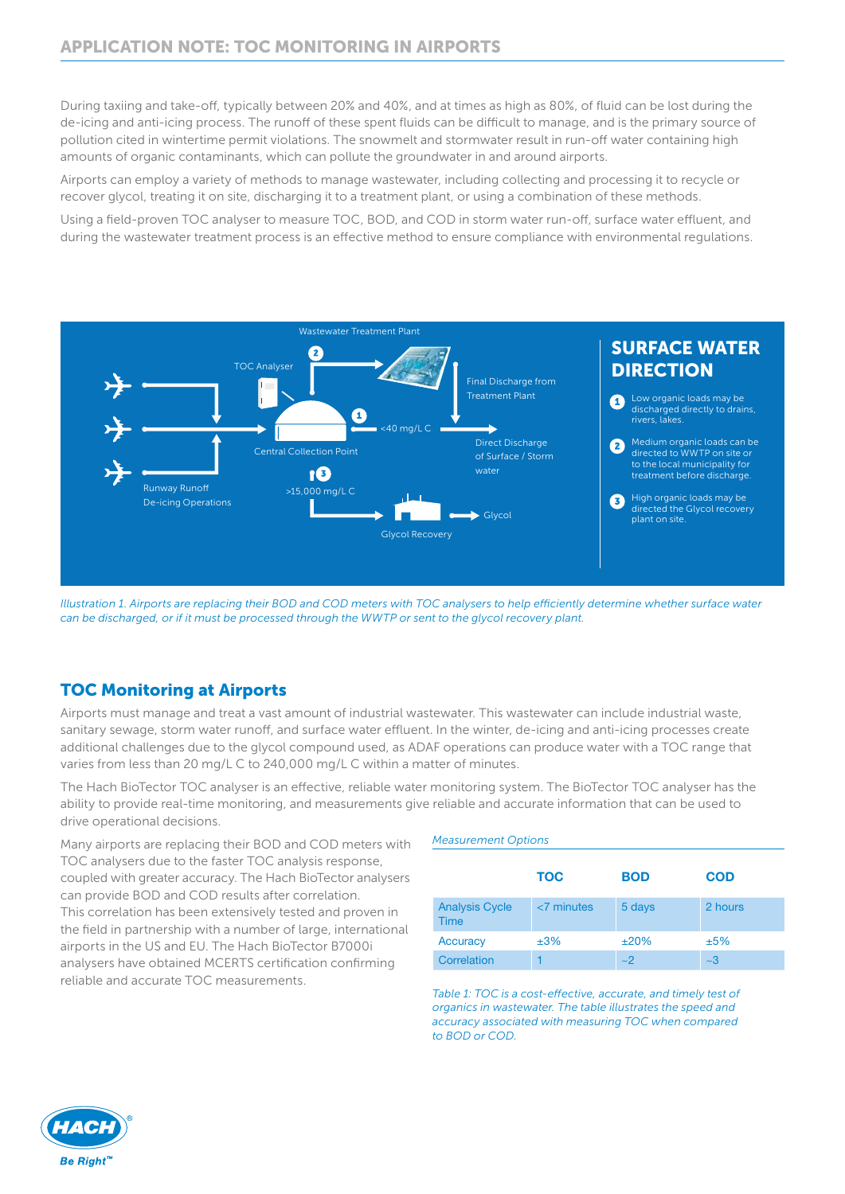During taxiing and take-off, typically between 20% and 40%, and at times as high as 80%, of fluid can be lost during the de-icing and anti-icing process. The runoff of these spent fluids can be difficult to manage, and is the primary source of pollution cited in wintertime permit violations. The snowmelt and stormwater result in run-off water containing high amounts of organic contaminants, which can pollute the groundwater in and around airports.

Airports can employ a variety of methods to manage wastewater, including collecting and processing it to recycle or recover glycol, treating it on site, discharging it to a treatment plant, or using a combination of these methods.

Using a field-proven TOC analyser to measure TOC, BOD, and COD in storm water run-off, surface water effluent, and during the wastewater treatment process is an effective method to ensure compliance with environmental regulations.



*Illustration 1. Airports are replacing their BOD and COD meters with TOC analysers to help efficiently determine whether surface water can be discharged, or if it must be processed through the WWTP or sent to the glycol recovery plant.*

## TOC Monitoring at Airports

Airports must manage and treat a vast amount of industrial wastewater. This wastewater can include industrial waste, sanitary sewage, storm water runoff, and surface water effluent. In the winter, de-icing and anti-icing processes create additional challenges due to the glycol compound used, as ADAF operations can produce water with a TOC range that varies from less than 20 mg/L C to 240,000 mg/L C within a matter of minutes.

The Hach BioTector TOC analyser is an effective, reliable water monitoring system. The BioTector TOC analyser has the ability to provide real-time monitoring, and measurements give reliable and accurate information that can be used to drive operational decisions.

Many airports are replacing their BOD and COD meters with TOC analysers due to the faster TOC analysis response, coupled with greater accuracy. The Hach BioTector analysers can provide BOD and COD results after correlation. This correlation has been extensively tested and proven in the field in partnership with a number of large, international airports in the US and EU. The Hach BioTector B7000i analysers have obtained MCERTS certification confirming reliable and accurate TOC measurements.

#### *Measurement Options*

|                                      | <b>TOC</b>    | <b>BOD</b> | <b>COD</b> |
|--------------------------------------|---------------|------------|------------|
| <b>Analysis Cycle</b><br><b>Time</b> | $<$ 7 minutes | 5 days     | 2 hours    |
| <b>Accuracy</b>                      | ±3%           | ±20%       | ±5%        |
| Correlation                          |               | $\sim$ 2   | $~1 - 3$   |

*Table 1: TOC is a cost-effective, accurate, and timely test of organics in wastewater. The table illustrates the speed and accuracy associated with measuring TOC when compared to BOD or COD.*

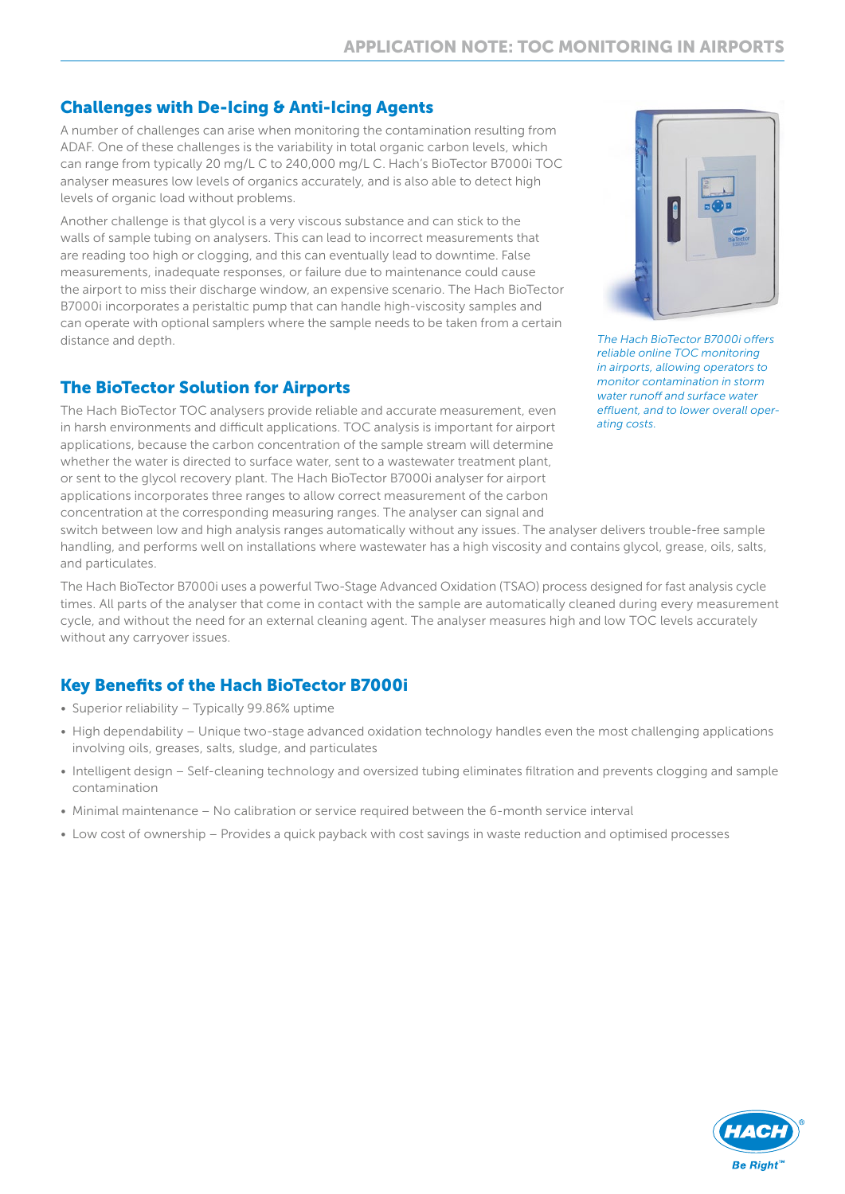### Challenges with De-Icing & Anti-Icing Agents

A number of challenges can arise when monitoring the contamination resulting from ADAF. One of these challenges is the variability in total organic carbon levels, which can range from typically 20 mg/L C to 240,000 mg/L C. Hach's BioTector B7000i TOC analyser measures low levels of organics accurately, and is also able to detect high levels of organic load without problems.

Another challenge is that glycol is a very viscous substance and can stick to the walls of sample tubing on analysers. This can lead to incorrect measurements that are reading too high or clogging, and this can eventually lead to downtime. False measurements, inadequate responses, or failure due to maintenance could cause the airport to miss their discharge window, an expensive scenario. The Hach BioTector B7000i incorporates a peristaltic pump that can handle high-viscosity samples and can operate with optional samplers where the sample needs to be taken from a certain distance and depth.

### The BioTector Solution for Airports

The Hach BioTector TOC analysers provide reliable and accurate measurement, even in harsh environments and difficult applications. TOC analysis is important for airport applications, because the carbon concentration of the sample stream will determine whether the water is directed to surface water, sent to a wastewater treatment plant, or sent to the glycol recovery plant. The Hach BioTector B7000i analyser for airport applications incorporates three ranges to allow correct measurement of the carbon concentration at the corresponding measuring ranges. The analyser can signal and



*The Hach BioTector B7000i offers reliable online TOC monitoring in airports, allowing operators to monitor contamination in storm water runoff and surface water effluent, and to lower overall operating costs.*

switch between low and high analysis ranges automatically without any issues. The analyser delivers trouble-free sample handling, and performs well on installations where wastewater has a high viscosity and contains glycol, grease, oils, salts, and particulates.

The Hach BioTector B7000i uses a powerful Two-Stage Advanced Oxidation (TSAO) process designed for fast analysis cycle times. All parts of the analyser that come in contact with the sample are automatically cleaned during every measurement cycle, and without the need for an external cleaning agent. The analyser measures high and low TOC levels accurately without any carryover issues.

## Key Benefits of the Hach BioTector B7000i

- Superior reliability Typically 99.86% uptime
- High dependability Unique two-stage advanced oxidation technology handles even the most challenging applications involving oils, greases, salts, sludge, and particulates
- Intelligent design Self-cleaning technology and oversized tubing eliminates filtration and prevents clogging and sample contamination
- Minimal maintenance No calibration or service required between the 6-month service interval
- Low cost of ownership Provides a quick payback with cost savings in waste reduction and optimised processes